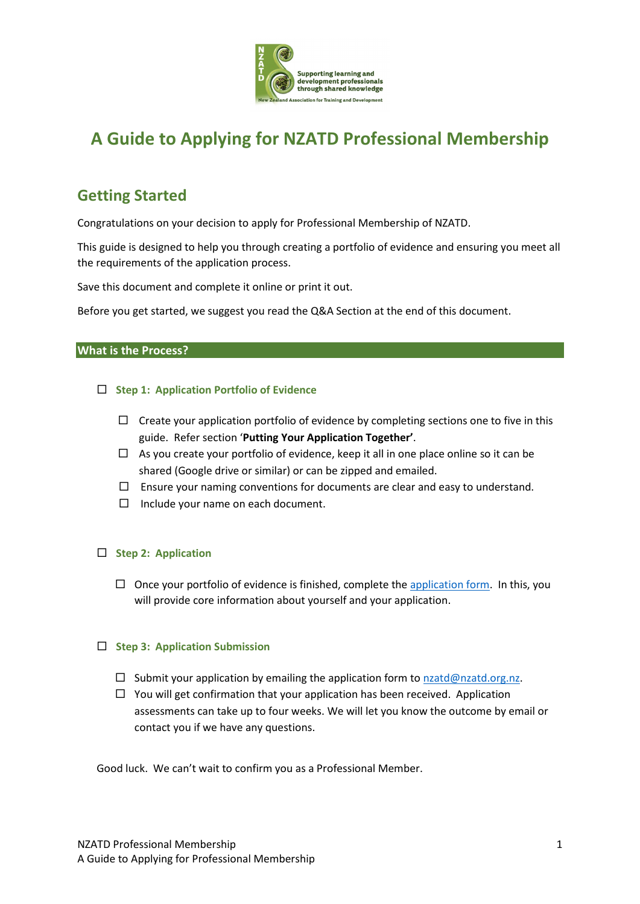

# **A Guide to Applying for NZATD Professional Membership**

## **Getting Started**

Congratulations on your decision to apply for Professional Membership of NZATD.

This guide is designed to help you through creating a portfolio of evidence and ensuring you meet all the requirements of the application process.

Save this document and complete it online or print it out.

Before you get started, we suggest you read the Q&A Section at the end of this document.

### **What is the Process?**

### **Step 1: Application Portfolio of Evidence**

- $\Box$  Create your application portfolio of evidence by completing sections one to five in this guide. Refer section '**Putting Your Application Together'**.
- $\Box$  As you create your portfolio of evidence, keep it all in one place online so it can be shared (Google drive or similar) or can be zipped and emailed.
- $\Box$  Ensure your naming conventions for documents are clear and easy to understand.
- $\Box$  Include your name on each document.

### **Step 2: Application**

 $\Box$  Once your portfolio of evidence is finished, complete the application form. In this, you will provide core information about yourself and your application.

### **Step 3: Application Submission**

- $\square$  Submit your application by emailing the application form to nzatd@nzatd.org.nz.
- $\Box$  You will get confirmation that your application has been received. Application assessments can take up to four weeks. We will let you know the outcome by email or contact you if we have any questions.

Good luck. We can't wait to confirm you as a Professional Member.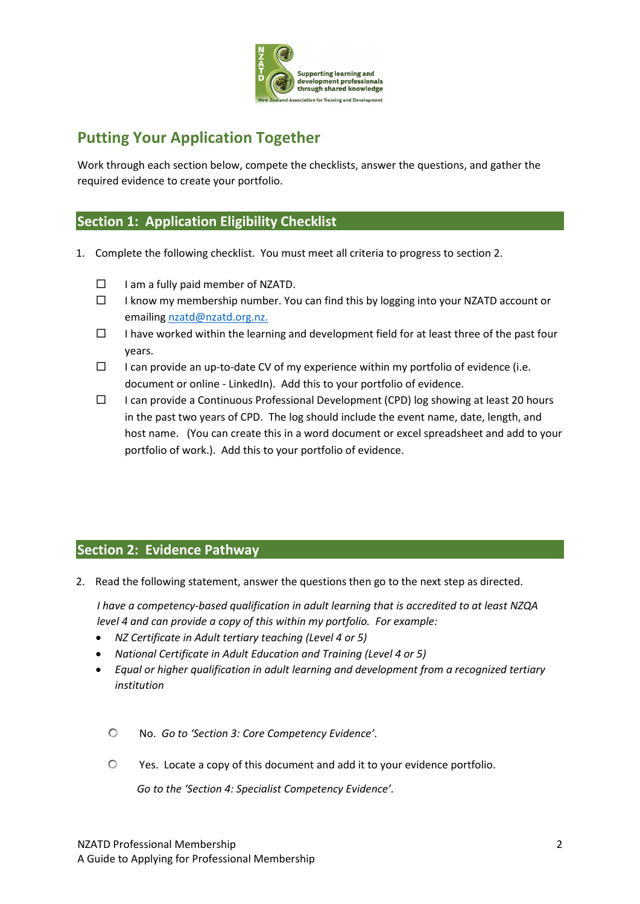

# **Putting Your Application Together**

Work through each section below, compete the checklists, answer the questions, and gather the required evidence to create your portfolio.

### **Section 1: Application Eligibility Checklist**

- 1. Complete the following checklist. You must meet all criteria to progress to section 2.
	- $\Box$  I am a fully paid member of NZATD.
	- $\Box$  I know my membership number. You can find this by logging into your NZATD account or emailing nzatd@nzatd.org.nz.
	- $\Box$  I have worked within the learning and development field for at least three of the past four years.
	- $\Box$  I can provide an up-to-date CV of my experience within my portfolio of evidence (i.e. document or online - LinkedIn). Add this to your portfolio of evidence.
	- $\Box$  I can provide a Continuous Professional Development (CPD) log showing at least 20 hours in the past two years of CPD. The log should include the event name, date, length, and host name. (You can create this in a word document or excel spreadsheet and add to your portfolio of work.). Add this to your portfolio of evidence.

### **Section 2: Evidence Pathway**

2. Read the following statement, answer the questions then go to the next step as directed.

*I have a competency-based qualification in adult learning that is accredited to at least NZQA level 4 and can provide a copy of this within my portfolio. For example:*

- *NZ Certificate in Adult tertiary teaching (Level 4 or 5)*
- *National Certificate in Adult Education and Training (Level 4 or 5)*
- *Equal or higher qualification in adult learning and development from a recognized tertiary institution*
	- No. *Go to 'Section 3: Core Competency Evidence'*.
	- Yes. Locate a copy of this document and add it to your evidence portfolio.

*Go to the 'Section 4: Specialist Competency Evidence'.*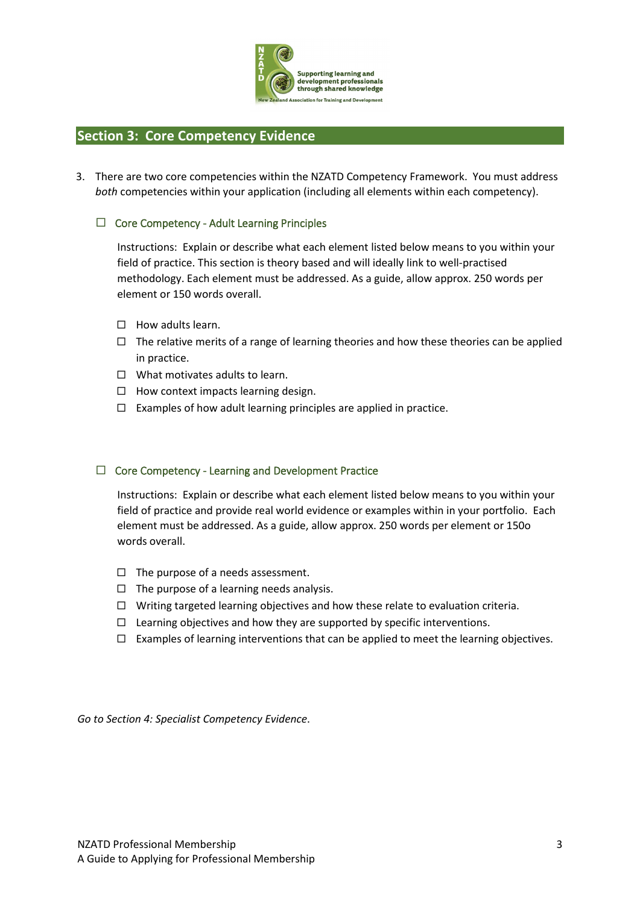

### **Section 3: Core Competency Evidence**

3. There are two core competencies within the NZATD Competency Framework. You must address *both* competencies within your application (including all elements within each competency).

### $\Box$  Core Competency - Adult Learning Principles

Instructions: Explain or describe what each element listed below means to you within your field of practice. This section is theory based and will ideally link to well-practised methodology. Each element must be addressed. As a guide, allow approx. 250 words per element or 150 words overall.

- $\Box$  How adults learn.
- $\Box$  The relative merits of a range of learning theories and how these theories can be applied in practice.
- $\Box$  What motivates adults to learn.
- $\Box$  How context impacts learning design.
- $\Box$  Examples of how adult learning principles are applied in practice.

### $\Box$  Core Competency - Learning and Development Practice

Instructions: Explain or describe what each element listed below means to you within your field of practice and provide real world evidence or examples within in your portfolio. Each element must be addressed. As a guide, allow approx. 250 words per element or 150o words overall.

- $\Box$  The purpose of a needs assessment.
- $\Box$  The purpose of a learning needs analysis.
- $\Box$  Writing targeted learning objectives and how these relate to evaluation criteria.
- $\Box$  Learning objectives and how they are supported by specific interventions.
- $\Box$  Examples of learning interventions that can be applied to meet the learning objectives.

*Go to Section 4: Specialist Competency Evidence*.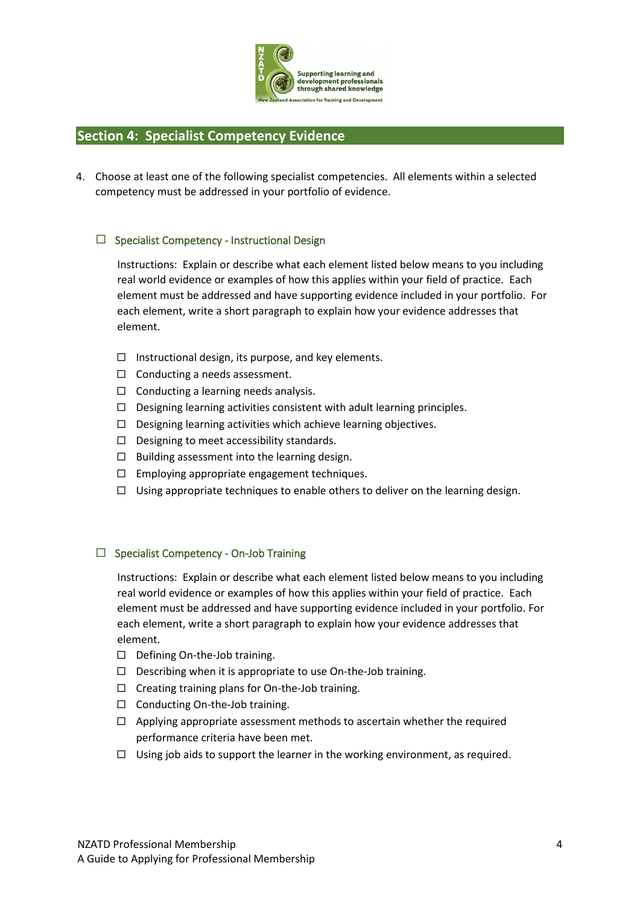

### **Section 4: Specialist Competency Evidence**

4. Choose at least one of the following specialist competencies. All elements within a selected competency must be addressed in your portfolio of evidence.

### $\Box$  Specialist Competency - Instructional Design

Instructions: Explain or describe what each element listed below means to you including real world evidence or examples of how this applies within your field of practice. Each element must be addressed and have supporting evidence included in your portfolio. For each element, write a short paragraph to explain how your evidence addresses that element.

- $\Box$  Instructional design, its purpose, and key elements.
- $\Box$  Conducting a needs assessment.
- $\Box$  Conducting a learning needs analysis.
- $\Box$  Designing learning activities consistent with adult learning principles.
- $\Box$  Designing learning activities which achieve learning objectives.
- $\Box$  Designing to meet accessibility standards.
- $\square$  Building assessment into the learning design.
- $\Box$  Employing appropriate engagement techniques.
- $\Box$  Using appropriate techniques to enable others to deliver on the learning design.

### $\Box$  Specialist Competency - On-Job Training

Instructions: Explain or describe what each element listed below means to you including real world evidence or examples of how this applies within your field of practice. Each element must be addressed and have supporting evidence included in your portfolio. For each element, write a short paragraph to explain how your evidence addresses that element.

- $\Box$  Defining On-the-Job training.
- $\Box$  Describing when it is appropriate to use On-the-Job training.
- $\Box$  Creating training plans for On-the-Job training.
- $\Box$  Conducting On-the-Job training.
- $\Box$  Applying appropriate assessment methods to ascertain whether the required performance criteria have been met.
- $\Box$  Using job aids to support the learner in the working environment, as required.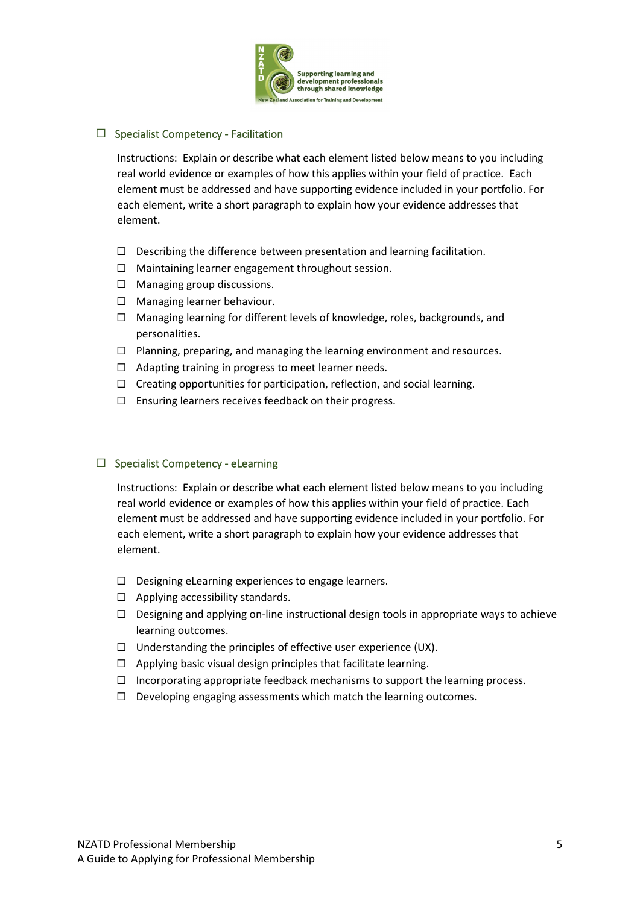

### $\Box$  Specialist Competency - Facilitation

Instructions: Explain or describe what each element listed below means to you including real world evidence or examples of how this applies within your field of practice. Each element must be addressed and have supporting evidence included in your portfolio. For each element, write a short paragraph to explain how your evidence addresses that element.

- $\Box$  Describing the difference between presentation and learning facilitation.
- $\Box$  Maintaining learner engagement throughout session.
- $\Box$  Managing group discussions.
- $\Box$  Managing learner behaviour.
- $\Box$  Managing learning for different levels of knowledge, roles, backgrounds, and personalities.
- $\Box$  Planning, preparing, and managing the learning environment and resources.
- $\Box$  Adapting training in progress to meet learner needs.
- $\Box$  Creating opportunities for participation, reflection, and social learning.
- $\Box$  Ensuring learners receives feedback on their progress.

### $\Box$  Specialist Competency - eLearning

Instructions: Explain or describe what each element listed below means to you including real world evidence or examples of how this applies within your field of practice. Each element must be addressed and have supporting evidence included in your portfolio. For each element, write a short paragraph to explain how your evidence addresses that element.

- $\square$  Designing eLearning experiences to engage learners.
- $\Box$  Applying accessibility standards.
- $\Box$  Designing and applying on-line instructional design tools in appropriate ways to achieve learning outcomes.
- $\Box$  Understanding the principles of effective user experience (UX).
- $\Box$  Applying basic visual design principles that facilitate learning.
- $\Box$  Incorporating appropriate feedback mechanisms to support the learning process.
- $\Box$  Developing engaging assessments which match the learning outcomes.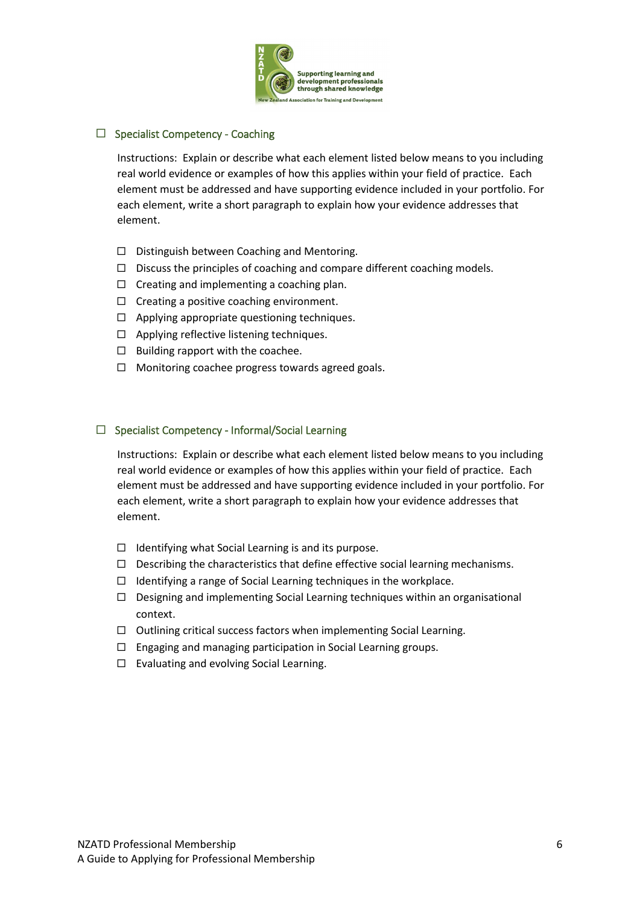

### $\Box$  Specialist Competency - Coaching

Instructions: Explain or describe what each element listed below means to you including real world evidence or examples of how this applies within your field of practice. Each element must be addressed and have supporting evidence included in your portfolio. For each element, write a short paragraph to explain how your evidence addresses that element.

- □ Distinguish between Coaching and Mentoring.
- $\Box$  Discuss the principles of coaching and compare different coaching models.
- $\Box$  Creating and implementing a coaching plan.
- $\Box$  Creating a positive coaching environment.
- $\Box$  Applying appropriate questioning techniques.
- $\Box$  Applying reflective listening techniques.
- $\Box$  Building rapport with the coachee.
- $\Box$  Monitoring coachee progress towards agreed goals.

### $\Box$  Specialist Competency - Informal/Social Learning

Instructions: Explain or describe what each element listed below means to you including real world evidence or examples of how this applies within your field of practice. Each element must be addressed and have supporting evidence included in your portfolio. For each element, write a short paragraph to explain how your evidence addresses that element.

- $\Box$  Identifying what Social Learning is and its purpose.
- $\square$  Describing the characteristics that define effective social learning mechanisms.
- $\Box$  Identifying a range of Social Learning techniques in the workplace.
- $\Box$  Designing and implementing Social Learning techniques within an organisational context.
- $\Box$  Outlining critical success factors when implementing Social Learning.
- $\Box$  Engaging and managing participation in Social Learning groups.
- $\Box$  Evaluating and evolving Social Learning.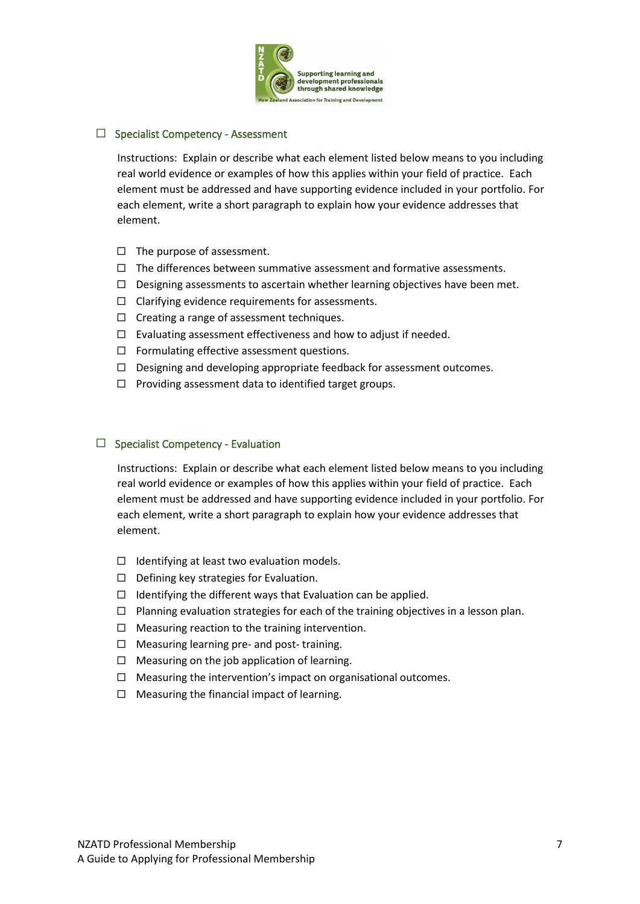

### $\Box$  Specialist Competency - Assessment

Instructions: Explain or describe what each element listed below means to you including real world evidence or examples of how this applies within your field of practice. Each element must be addressed and have supporting evidence included in your portfolio. For each element, write a short paragraph to explain how your evidence addresses that element.

- $\Box$  The purpose of assessment.
- $\Box$  The differences between summative assessment and formative assessments.
- $\Box$  Designing assessments to ascertain whether learning objectives have been met.
- $\Box$  Clarifying evidence requirements for assessments.
- $\Box$  Creating a range of assessment techniques.
- $\Box$  Evaluating assessment effectiveness and how to adjust if needed.
- $\Box$  Formulating effective assessment questions.
- $\Box$  Designing and developing appropriate feedback for assessment outcomes.
- $\Box$  Providing assessment data to identified target groups.

### $\Box$  Specialist Competency - Evaluation

Instructions: Explain or describe what each element listed below means to you including real world evidence or examples of how this applies within your field of practice. Each element must be addressed and have supporting evidence included in your portfolio. For each element, write a short paragraph to explain how your evidence addresses that element.

- $\Box$  Identifying at least two evaluation models.
- $\Box$  Defining key strategies for Evaluation.
- $\Box$  Identifying the different ways that Evaluation can be applied.
- $\Box$  Planning evaluation strategies for each of the training objectives in a lesson plan.
- $\Box$  Measuring reaction to the training intervention.
- $\Box$  Measuring learning pre- and post-training.
- $\Box$  Measuring on the job application of learning.
- $\Box$  Measuring the intervention's impact on organisational outcomes.
- $\Box$  Measuring the financial impact of learning.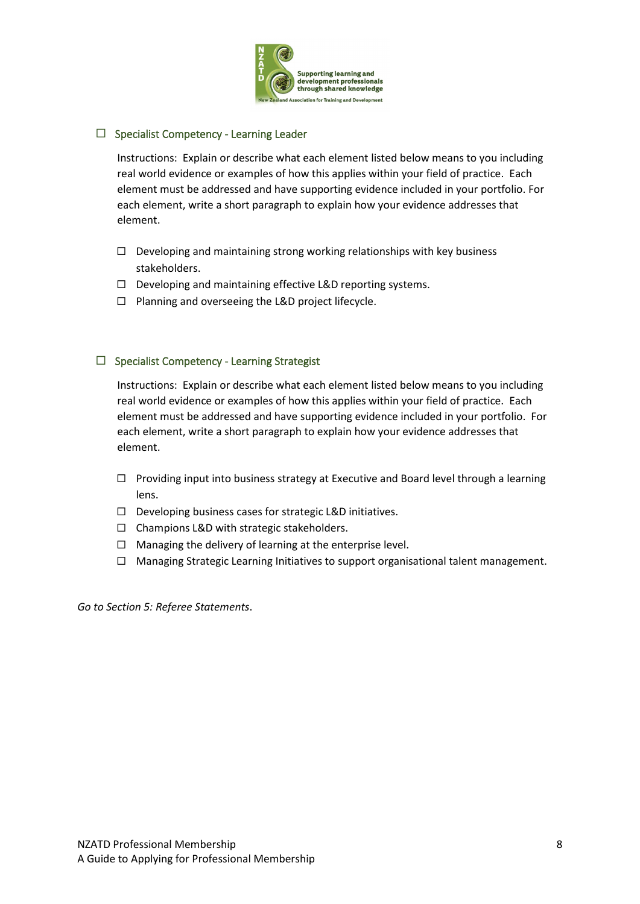

### $\Box$  Specialist Competency - Learning Leader

Instructions: Explain or describe what each element listed below means to you including real world evidence or examples of how this applies within your field of practice. Each element must be addressed and have supporting evidence included in your portfolio. For each element, write a short paragraph to explain how your evidence addresses that element.

- $\Box$  Developing and maintaining strong working relationships with key business stakeholders.
- $\Box$  Developing and maintaining effective L&D reporting systems.
- $\Box$  Planning and overseeing the L&D project lifecycle.

### $\Box$  Specialist Competency - Learning Strategist

Instructions: Explain or describe what each element listed below means to you including real world evidence or examples of how this applies within your field of practice. Each element must be addressed and have supporting evidence included in your portfolio. For each element, write a short paragraph to explain how your evidence addresses that element.

- $\Box$  Providing input into business strategy at Executive and Board level through a learning lens.
- $\Box$  Developing business cases for strategic L&D initiatives.
- $\Box$  Champions L&D with strategic stakeholders.
- $\Box$  Managing the delivery of learning at the enterprise level.
- $\Box$  Managing Strategic Learning Initiatives to support organisational talent management.

*Go to Section 5: Referee Statements*.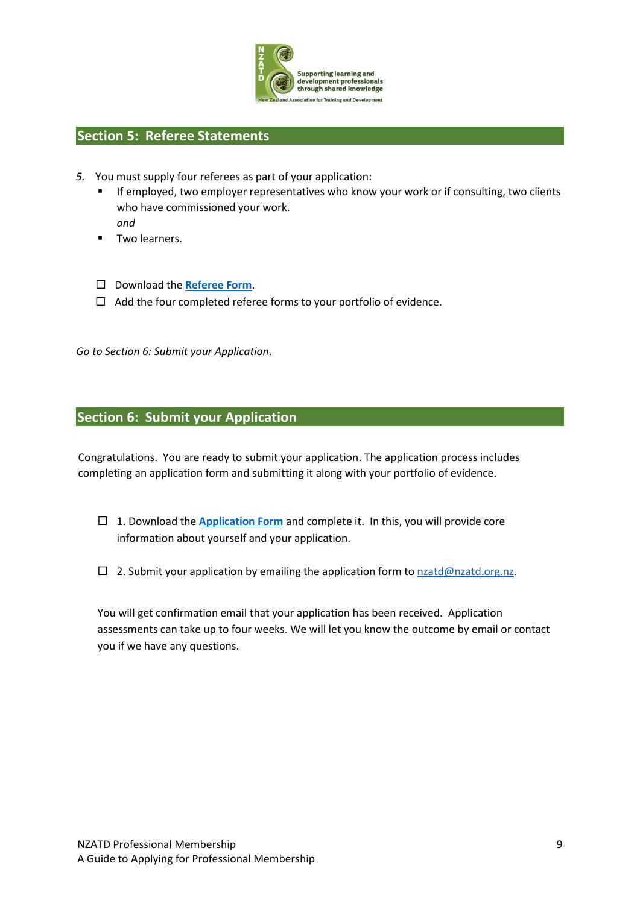

### **Section 5: Referee Statements**

- *5.* You must supply four referees as part of your application:
	- If employed, two employer representatives who know your work or if consulting, two clients who have commissioned your work. *and*
	- Two learners.
	- Download the **Referee Form**.
	- $\Box$  Add the four completed referee forms to your portfolio of evidence.

*Go to Section 6: Submit your Application*.

### **Section 6: Submit your Application**

Congratulations. You are ready to submit your application. The application process includes completing an application form and submitting it along with your portfolio of evidence.

- □ 1. Download the **Application Form** and complete it. In this, you will provide core information about yourself and your application.
- $\Box$  2. Submit your application by emailing the application form to nzatd@nzatd.org.nz.

You will get confirmation email that your application has been received. Application assessments can take up to four weeks. We will let you know the outcome by email or contact you if we have any questions.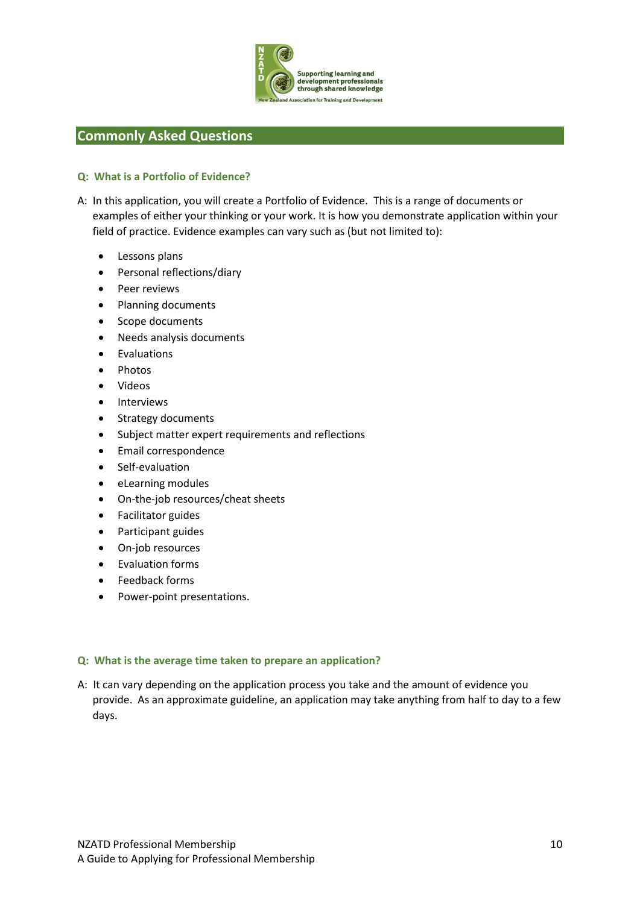

### **Commonly Asked Questions**

### **Q: What is a Portfolio of Evidence?**

- A: In this application, you will create a Portfolio of Evidence. This is a range of documents or examples of either your thinking or your work. It is how you demonstrate application within your field of practice. Evidence examples can vary such as (but not limited to):
	- Lessons plans
	- Personal reflections/diary
	- Peer reviews
	- Planning documents
	- Scope documents
	- Needs analysis documents
	- Evaluations
	- Photos
	- Videos
	- Interviews
	- Strategy documents
	- Subject matter expert requirements and reflections
	- Email correspondence
	- Self-evaluation
	- eLearning modules
	- On-the-job resources/cheat sheets
	- Facilitator guides
	- Participant guides
	- On-job resources
	- Evaluation forms
	- Feedback forms
	- Power-point presentations.

### **Q: What is the average time taken to prepare an application?**

A: It can vary depending on the application process you take and the amount of evidence you provide. As an approximate guideline, an application may take anything from half to day to a few days.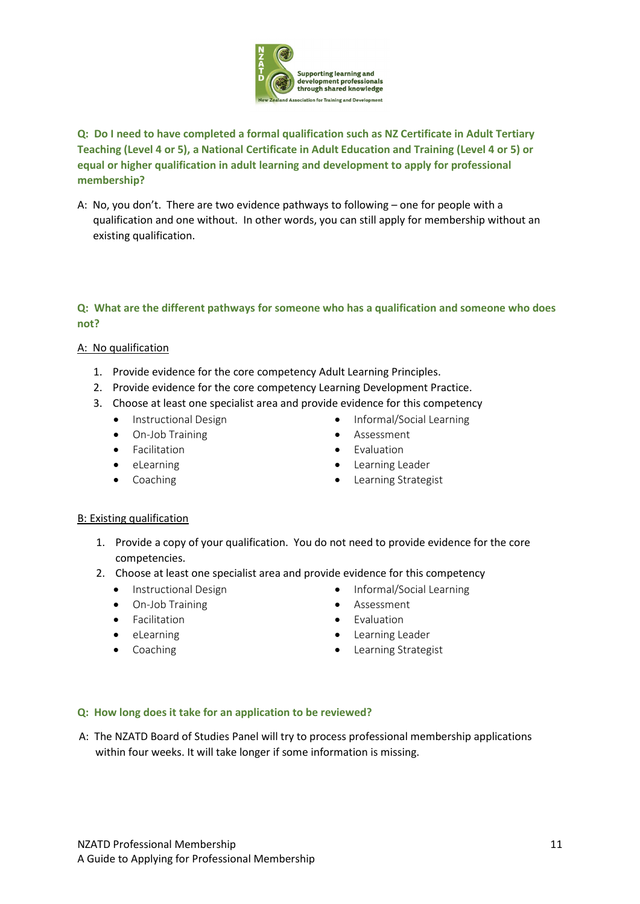

### **Q: Do I need to have completed a formal qualification such as NZ Certificate in Adult Tertiary Teaching (Level 4 or 5), a National Certificate in Adult Education and Training (Level 4 or 5) or equal or higher qualification in adult learning and development to apply for professional membership?**

A: No, you don't. There are two evidence pathways to following – one for people with a qualification and one without. In other words, you can still apply for membership without an existing qualification.

### **Q: What are the different pathways for someone who has a qualification and someone who does not?**

### A: No qualification

- 1. Provide evidence for the core competency Adult Learning Principles.
- 2. Provide evidence for the core competency Learning Development Practice.
- 3. Choose at least one specialist area and provide evidence for this competency
	- Instructional Design
	- On-Job Training
	- Facilitation
	- eLearning
	- Coaching
- Informal/Social Learning
- Assessment
- Evaluation
- Learning Leader
- Learning Strategist

### B: Existing qualification

- 1. Provide a copy of your qualification. You do not need to provide evidence for the core competencies.
- 2. Choose at least one specialist area and provide evidence for this competency
	- Instructional Design
	- On-Job Training
	- Facilitation
	- eLearning
	- Coaching
- Informal/Social Learning
- Assessment
- Evaluation
- Learning Leader
- Learning Strategist

### **Q: How long does it take for an application to be reviewed?**

A: The NZATD Board of Studies Panel will try to process professional membership applications within four weeks. It will take longer if some information is missing.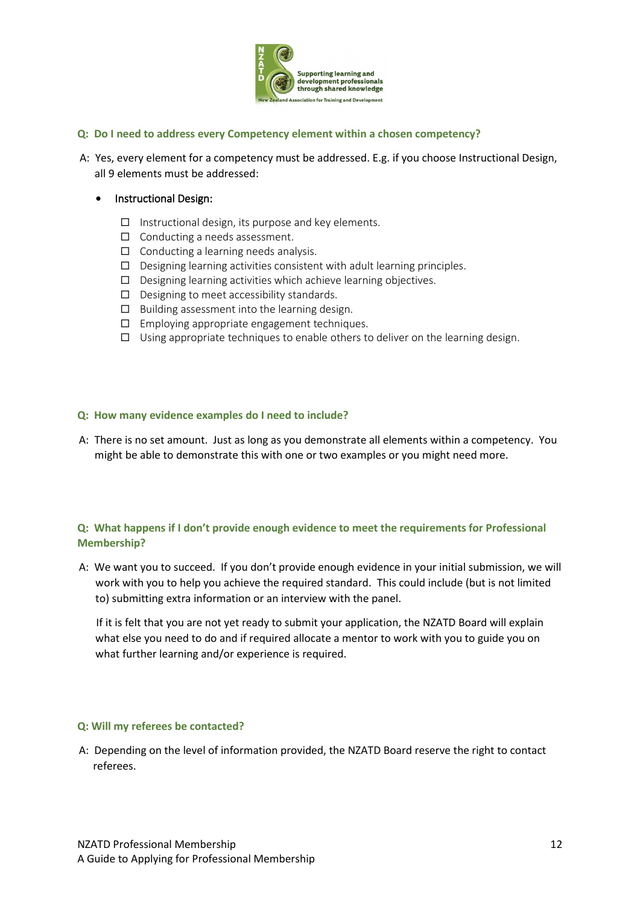

### **Q: Do I need to address every Competency element within a chosen competency?**

A: Yes, every element for a competency must be addressed. E.g. if you choose Instructional Design, all 9 elements must be addressed:

### • Instructional Design:

- $\Box$  Instructional design, its purpose and key elements.
- $\Box$  Conducting a needs assessment.
- $\Box$  Conducting a learning needs analysis.
- $\Box$  Designing learning activities consistent with adult learning principles.
- $\square$  Designing learning activities which achieve learning objectives.
- $\Box$  Designing to meet accessibility standards.
- $\square$  Building assessment into the learning design.
- $\Box$  Employing appropriate engagement techniques.
- $\square$  Using appropriate techniques to enable others to deliver on the learning design.

### **Q: How many evidence examples do I need to include?**

A: There is no set amount. Just as long as you demonstrate all elements within a competency. You might be able to demonstrate this with one or two examples or you might need more.

### **Q: What happens if I don't provide enough evidence to meet the requirements for Professional Membership?**

A: We want you to succeed. If you don't provide enough evidence in your initial submission, we will work with you to help you achieve the required standard. This could include (but is not limited to) submitting extra information or an interview with the panel.

If it is felt that you are not yet ready to submit your application, the NZATD Board will explain what else you need to do and if required allocate a mentor to work with you to guide you on what further learning and/or experience is required.

### **Q: Will my referees be contacted?**

A: Depending on the level of information provided, the NZATD Board reserve the right to contact referees.